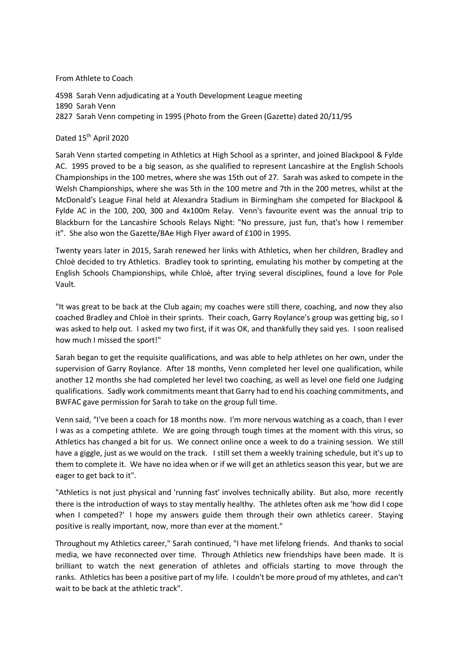From Athlete to Coach

4598 Sarah Venn adjudicating at a Youth Development League meeting 1890 Sarah Venn 2827 Sarah Venn competing in 1995 (Photo from the Green (Gazette) dated 20/11/95

Dated 15<sup>th</sup> April 2020

Sarah Venn started competing in Athletics at High School as a sprinter, and joined Blackpool & Fylde AC. 1995 proved to be a big season, as she qualified to represent Lancashire at the English Schools Championships in the 100 metres, where she was 15th out of 27. Sarah was asked to compete in the Welsh Championships, where she was 5th in the 100 metre and 7th in the 200 metres, whilst at the McDonald's League Final held at Alexandra Stadium in Birmingham she competed for Blackpool & Fylde AC in the 100, 200, 300 and 4x100m Relay. Venn's favourite event was the annual trip to Blackburn for the Lancashire Schools Relays Night: "No pressure, just fun, that's how I remember it". She also won the Gazette/BAe High Flyer award of £100 in 1995.

Twenty years later in 2015, Sarah renewed her links with Athletics, when her children, Bradley and Chloè decided to try Athletics. Bradley took to sprinting, emulating his mother by competing at the English Schools Championships, while Chloè, after trying several disciplines, found a love for Pole Vault.

"It was great to be back at the Club again; my coaches were still there, coaching, and now they also coached Bradley and Chloè in their sprints. Their coach, Garry Roylance's group was getting big, so I was asked to help out. I asked my two first, if it was OK, and thankfully they said yes. I soon realised how much I missed the sport!"

Sarah began to get the requisite qualifications, and was able to help athletes on her own, under the supervision of Garry Roylance. After 18 months, Venn completed her level one qualification, while another 12 months she had completed her level two coaching, as well as level one field one Judging qualifications. Sadly work commitments meant that Garry had to end his coaching commitments, and BWFAC gave permission for Sarah to take on the group full time.

Venn said, "I've been a coach for 18 months now. I'm more nervous watching as a coach, than I ever I was as a competing athlete. We are going through tough times at the moment with this virus, so Athletics has changed a bit for us. We connect online once a week to do a training session. We still have a giggle, just as we would on the track. I still set them a weekly training schedule, but it's up to them to complete it. We have no idea when or if we will get an athletics season this year, but we are eager to get back to it".

"Athletics is not just physical and 'running fast' involves technically ability. But also, more recently there is the introduction of ways to stay mentally healthy. The athletes often ask me 'how did I cope when I competed?' I hope my answers guide them through their own athletics career. Staying positive is really important, now, more than ever at the moment."

Throughout my Athletics career," Sarah continued, "I have met lifelong friends. And thanks to social media, we have reconnected over time. Through Athletics new friendships have been made. It is brilliant to watch the next generation of athletes and officials starting to move through the ranks. Athletics has been a positive part of my life. I couldn't be more proud of my athletes, and can't wait to be back at the athletic track".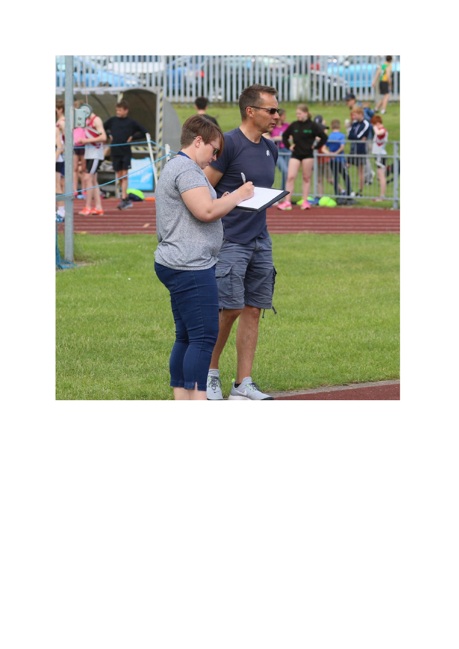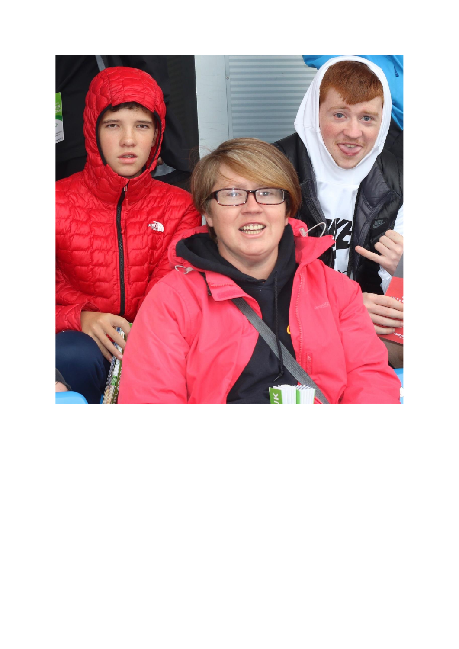